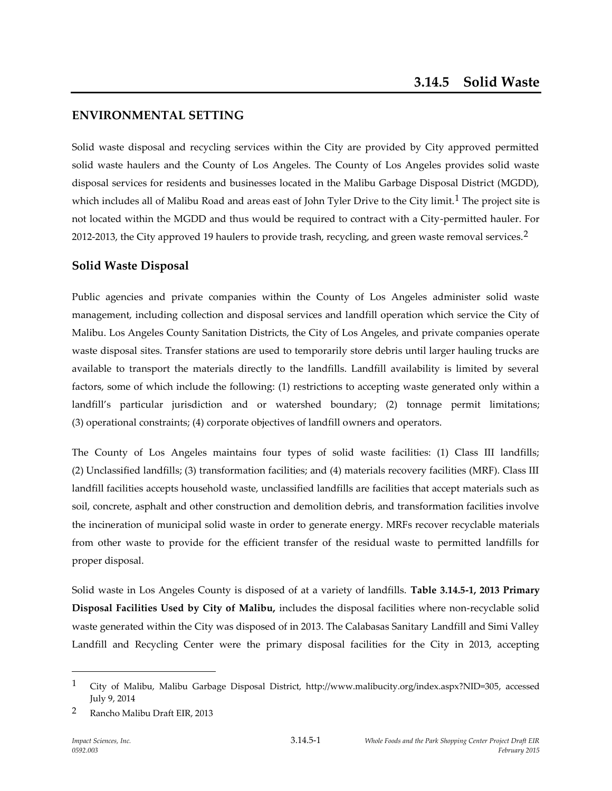# **ENVIRONMENTAL SETTING**

Solid waste disposal and recycling services within the City are provided by City approved permitted solid waste haulers and the County of Los Angeles. The County of Los Angeles provides solid waste disposal services for residents and businesses located in the Malibu Garbage Disposal District (MGDD), which includes all of Malibu Road and areas east of John Tyler Drive to the City limit.<sup>1</sup> The project site is not located within the MGDD and thus would be required to contract with a City-permitted hauler. For 2012-2013, the City approved 19 haulers to provide trash, recycling, and green waste removal services.<sup>2</sup>

# **Solid Waste Disposal**

Public agencies and private companies within the County of Los Angeles administer solid waste management, including collection and disposal services and landfill operation which service the City of Malibu. Los Angeles County Sanitation Districts, the City of Los Angeles, and private companies operate waste disposal sites. Transfer stations are used to temporarily store debris until larger hauling trucks are available to transport the materials directly to the landfills. Landfill availability is limited by several factors, some of which include the following: (1) restrictions to accepting waste generated only within a landfill's particular jurisdiction and or watershed boundary; (2) tonnage permit limitations; (3) operational constraints; (4) corporate objectives of landfill owners and operators.

The County of Los Angeles maintains four types of solid waste facilities: (1) Class III landfills; (2) Unclassified landfills; (3) transformation facilities; and (4) materials recovery facilities (MRF). Class III landfill facilities accepts household waste, unclassified landfills are facilities that accept materials such as soil, concrete, asphalt and other construction and demolition debris, and transformation facilities involve the incineration of municipal solid waste in order to generate energy. MRFs recover recyclable materials from other waste to provide for the efficient transfer of the residual waste to permitted landfills for proper disposal.

Solid waste in Los Angeles County is disposed of at a variety of landfills. **Table 3.14.5-1, 2013 Primary Disposal Facilities Used by City of Malibu,** includes the disposal facilities where non-recyclable solid waste generated within the City was disposed of in 2013. The Calabasas Sanitary Landfill and Simi Valley Landfill and Recycling Center were the primary disposal facilities for the City in 2013, accepting

1

<sup>1</sup> City of Malibu, Malibu Garbage Disposal District, http://www.malibucity.org/index.aspx?NID=305, accessed July 9, 2014

<sup>2</sup> Rancho Malibu Draft EIR, 2013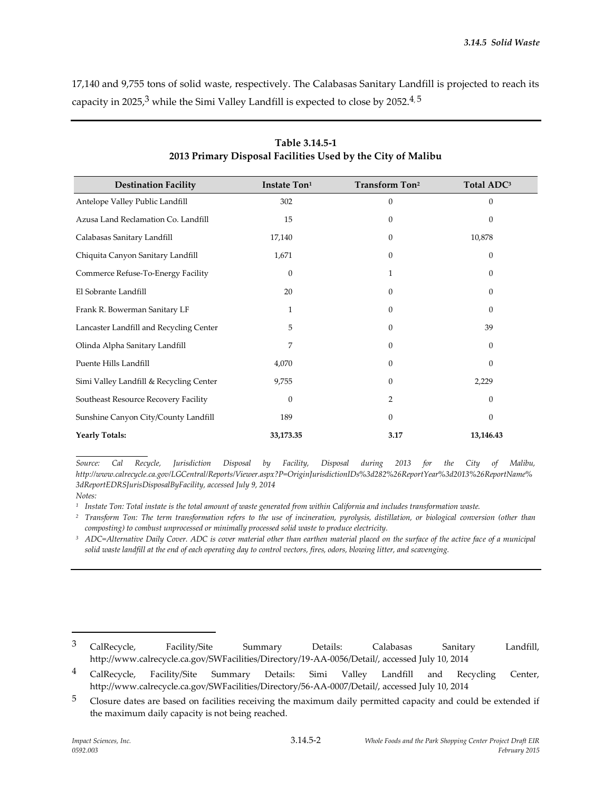17,140 and 9,755 tons of solid waste, respectively. The Calabasas Sanitary Landfill is projected to reach its capacity in 2025, $^3$  while the Simi Valley Landfill is expected to close by 2052. $^{4,5}$ 

| <b>Destination Facility</b>             | Instate Ton <sup>1</sup> | <b>Transform Ton<sup>2</sup></b> | Total ADC <sup>3</sup> |
|-----------------------------------------|--------------------------|----------------------------------|------------------------|
| Antelope Valley Public Landfill         | 302                      | 0                                | $\mathbf{0}$           |
| Azusa Land Reclamation Co. Landfill     | 15                       | $\Omega$                         | $\Omega$               |
| Calabasas Sanitary Landfill             | 17,140                   | 0                                | 10,878                 |
| Chiquita Canyon Sanitary Landfill       | 1,671                    | $\Omega$                         | $\mathbf{0}$           |
| Commerce Refuse-To-Energy Facility      | $\theta$                 | 1                                | $\boldsymbol{0}$       |
| El Sobrante Landfill                    | 20                       | $\mathbf{0}$                     | $\mathbf{0}$           |
| Frank R. Bowerman Sanitary LF           | 1                        | 0                                | $\mathbf{0}$           |
| Lancaster Landfill and Recycling Center | 5                        | $\Omega$                         | 39                     |
| Olinda Alpha Sanitary Landfill          | 7                        | $\mathbf{0}$                     | $\mathbf{0}$           |
| Puente Hills Landfill                   | 4,070                    | $\mathbf{0}$                     | $\mathbf{0}$           |
| Simi Valley Landfill & Recycling Center | 9,755                    | $\mathbf{0}$                     | 2,229                  |
| Southeast Resource Recovery Facility    | $\Omega$                 | 2                                | $\mathbf{0}$           |
| Sunshine Canyon City/County Landfill    | 189                      | $\mathbf{0}$                     | $\mathbf{0}$           |
| <b>Yearly Totals:</b>                   | 33,173.35                | 3.17                             | 13,146.43              |

**Table 3.14.5-1 2013 Primary Disposal Facilities Used by the City of Malibu**

*Source: Cal Recycle, Jurisdiction Disposal by Facility, Disposal during 2013 for the City of Malibu, http://www.calrecycle.ca.gov/LGCentral/Reports/Viewer.aspx?P=OriginJurisdictionIDs%3d282%26ReportYear%3d2013%26ReportName% 3dReportEDRSJurisDisposalByFacility, accessed July 9, 2014 Notes:* 

*1 Instate Ton: Total instate is the total amount of waste generated from within California and includes transformation waste.*

*<sup>2</sup> Transform Ton: The term transformation refers to the use of incineration, pyrolysis, distillation, or biological conversion (other than composting) to combust unprocessed or minimally processed solid waste to produce electricity.*

<sup>3</sup> ADC=Alternative Daily Cover. ADC is cover material other than earthen material placed on the surface of the active face of a municipal *solid waste landfill at the end of each operating day to control vectors, fires, odors, blowing litter, and scavenging.*

 $^3$  CalRecycle, Facility/Site Summary Details: Calabasas Sanitary Landfill, http://www.calrecycle.ca.gov/SWFacilities/Directory/19-AA-0056/Detail/, accessed July 10, 2014

<sup>&</sup>lt;sup>4</sup> CalRecycle, Facility/Site Summary Details: Simi Valley Landfill and Recycling Center, http://www.calrecycle.ca.gov/SWFacilities/Directory/56-AA-0007/Detail/, accessed July 10, 2014

<sup>&</sup>lt;sup>5</sup> Closure dates are based on facilities receiving the maximum daily permitted capacity and could be extended if the maximum daily capacity is not being reached.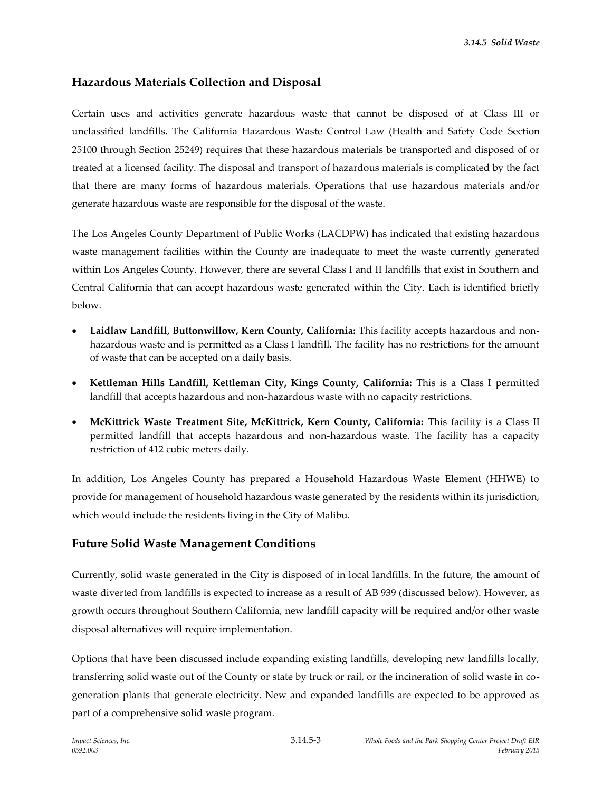# **Hazardous Materials Collection and Disposal**

Certain uses and activities generate hazardous waste that cannot be disposed of at Class III or unclassified landfills. The California Hazardous Waste Control Law (Health and Safety Code Section 25100 through Section 25249) requires that these hazardous materials be transported and disposed of or treated at a licensed facility. The disposal and transport of hazardous materials is complicated by the fact that there are many forms of hazardous materials. Operations that use hazardous materials and/or generate hazardous waste are responsible for the disposal of the waste.

The Los Angeles County Department of Public Works (LACDPW) has indicated that existing hazardous waste management facilities within the County are inadequate to meet the waste currently generated within Los Angeles County. However, there are several Class I and II landfills that exist in Southern and Central California that can accept hazardous waste generated within the City. Each is identified briefly below.

- **Laidlaw Landfill, Buttonwillow, Kern County, California:** This facility accepts hazardous and nonhazardous waste and is permitted as a Class I landfill. The facility has no restrictions for the amount of waste that can be accepted on a daily basis.
- **Kettleman Hills Landfill, Kettleman City, Kings County, California:** This is a Class I permitted landfill that accepts hazardous and non-hazardous waste with no capacity restrictions.
- **McKittrick Waste Treatment Site, McKittrick, Kern County, California:** This facility is a Class II permitted landfill that accepts hazardous and non-hazardous waste. The facility has a capacity restriction of 412 cubic meters daily.

In addition, Los Angeles County has prepared a Household Hazardous Waste Element (HHWE) to provide for management of household hazardous waste generated by the residents within its jurisdiction, which would include the residents living in the City of Malibu.

# **Future Solid Waste Management Conditions**

Currently, solid waste generated in the City is disposed of in local landfills. In the future, the amount of waste diverted from landfills is expected to increase as a result of AB 939 (discussed below). However, as growth occurs throughout Southern California, new landfill capacity will be required and/or other waste disposal alternatives will require implementation.

Options that have been discussed include expanding existing landfills, developing new landfills locally, transferring solid waste out of the County or state by truck or rail, or the incineration of solid waste in cogeneration plants that generate electricity. New and expanded landfills are expected to be approved as part of a comprehensive solid waste program.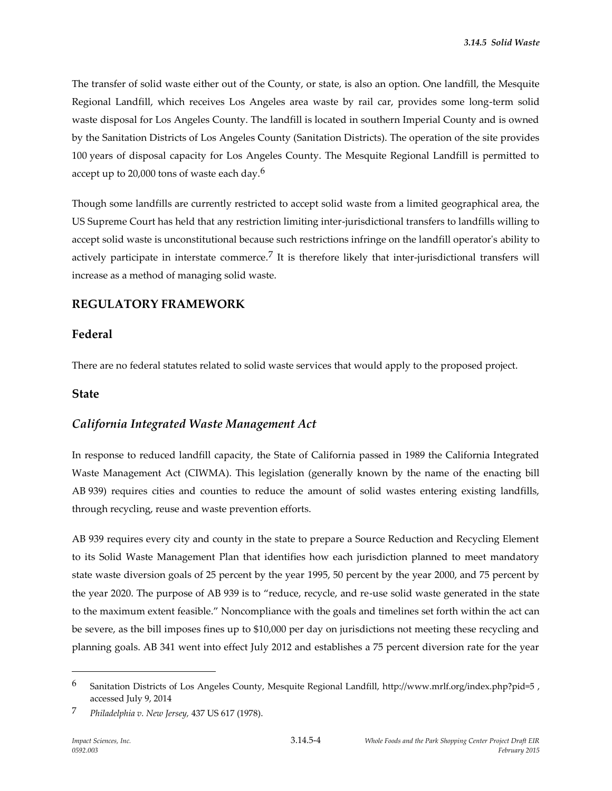The transfer of solid waste either out of the County, or state, is also an option. One landfill, the Mesquite Regional Landfill, which receives Los Angeles area waste by rail car, provides some long-term solid waste disposal for Los Angeles County. The landfill is located in southern Imperial County and is owned by the Sanitation Districts of Los Angeles County (Sanitation Districts). The operation of the site provides 100 years of disposal capacity for Los Angeles County. The Mesquite Regional Landfill is permitted to accept up to 20,000 tons of waste each day.<sup>6</sup>

Though some landfills are currently restricted to accept solid waste from a limited geographical area, the US Supreme Court has held that any restriction limiting inter-jurisdictional transfers to landfills willing to accept solid waste is unconstitutional because such restrictions infringe on the landfill operator's ability to actively participate in interstate commerce.<sup>7</sup> It is therefore likely that inter-jurisdictional transfers will increase as a method of managing solid waste.

# **REGULATORY FRAMEWORK**

# **Federal**

There are no federal statutes related to solid waste services that would apply to the proposed project.

#### **State**

# *California Integrated Waste Management Act*

In response to reduced landfill capacity, the State of California passed in 1989 the California Integrated Waste Management Act (CIWMA). This legislation (generally known by the name of the enacting bill AB 939) requires cities and counties to reduce the amount of solid wastes entering existing landfills, through recycling, reuse and waste prevention efforts.

AB 939 requires every city and county in the state to prepare a Source Reduction and Recycling Element to its Solid Waste Management Plan that identifies how each jurisdiction planned to meet mandatory state waste diversion goals of 25 percent by the year 1995, 50 percent by the year 2000, and 75 percent by the year 2020. The purpose of AB 939 is to "reduce, recycle, and re-use solid waste generated in the state to the maximum extent feasible." Noncompliance with the goals and timelines set forth within the act can be severe, as the bill imposes fines up to \$10,000 per day on jurisdictions not meeting these recycling and planning goals. AB 341 went into effect July 2012 and establishes a 75 percent diversion rate for the year

1

<sup>6</sup> Sanitation Districts of Los Angeles County, Mesquite Regional Landfill, http://www.mrlf.org/index.php?pid=5 , accessed July 9, 2014

<sup>7</sup> *Philadelphia v. New Jersey,* 437 US 617 (1978).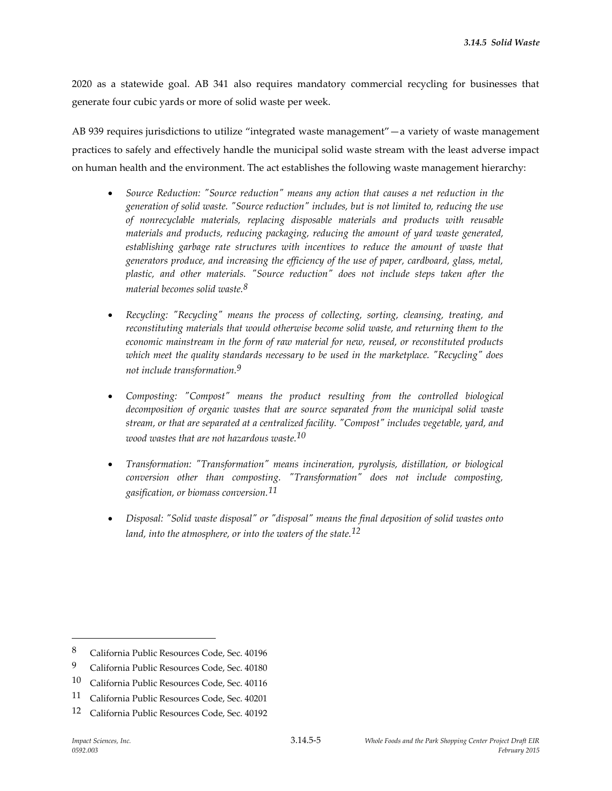2020 as a statewide goal. AB 341 also requires mandatory commercial recycling for businesses that generate four cubic yards or more of solid waste per week.

AB 939 requires jurisdictions to utilize "integrated waste management"—a variety of waste management practices to safely and effectively handle the municipal solid waste stream with the least adverse impact on human health and the environment. The act establishes the following waste management hierarchy:

- *Source Reduction: "Source reduction" means any action that causes a net reduction in the generation of solid waste. "Source reduction" includes, but is not limited to, reducing the use of nonrecyclable materials, replacing disposable materials and products with reusable materials and products, reducing packaging, reducing the amount of yard waste generated,*  establishing garbage rate structures with incentives to reduce the amount of waste that *generators produce, and increasing the efficiency of the use of paper, cardboard, glass, metal, plastic, and other materials. "Source reduction" does not include steps taken after the material becomes solid waste.8*
- *Recycling: "Recycling" means the process of collecting, sorting, cleansing, treating, and reconstituting materials that would otherwise become solid waste, and returning them to the economic mainstream in the form of raw material for new, reused, or reconstituted products which meet the quality standards necessary to be used in the marketplace. "Recycling" does not include transformation.9*
- *Composting: "Compost" means the product resulting from the controlled biological decomposition of organic wastes that are source separated from the municipal solid waste stream, or that are separated at a centralized facility. "Compost" includes vegetable, yard, and wood wastes that are not hazardous waste.10*
- *Transformation: "Transformation" means incineration, pyrolysis, distillation, or biological conversion other than composting. "Transformation" does not include composting, gasification, or biomass conversion.11*
- *Disposal: "Solid waste disposal" or "disposal" means the final deposition of solid wastes onto land, into the atmosphere, or into the waters of the state.12*

<sup>8</sup> California Public Resources Code, Sec. 40196

<sup>9</sup> California Public Resources Code, Sec. 40180

<sup>10</sup> California Public Resources Code, Sec. 40116

<sup>11</sup> California Public Resources Code, Sec. 40201

<sup>12</sup> California Public Resources Code, Sec. 40192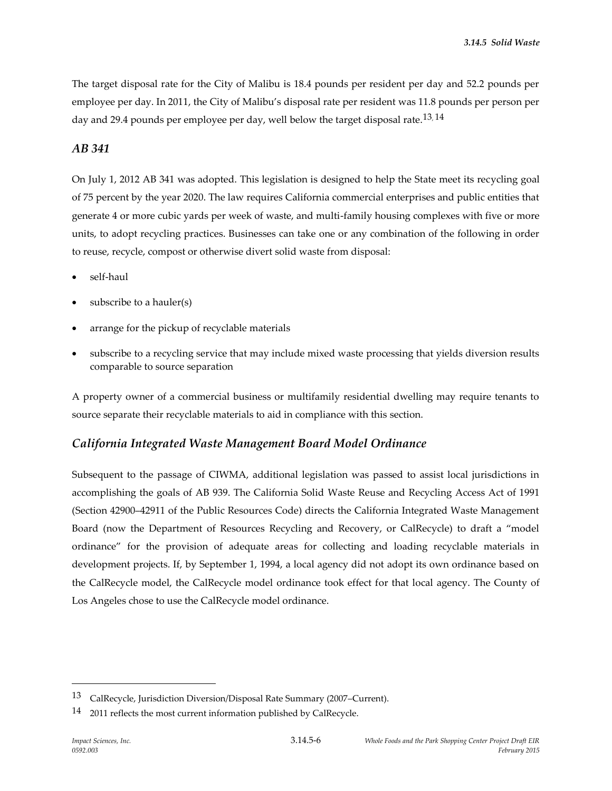The target disposal rate for the City of Malibu is 18.4 pounds per resident per day and 52.2 pounds per employee per day. In 2011, the City of Malibu's disposal rate per resident was 11.8 pounds per person per day and 29.4 pounds per employee per day, well below the target disposal rate.<sup>13,14</sup>

#### *AB 341*

On July 1, 2012 AB 341 was adopted. This legislation is designed to help the State meet its recycling goal of 75 percent by the year 2020. The law requires California commercial enterprises and public entities that generate 4 or more cubic yards per week of waste, and multi-family housing complexes with five or more units, to adopt recycling practices. Businesses can take one or any combination of the following in order to reuse, recycle, compost or otherwise divert solid waste from disposal:

- self-haul
- subscribe to a hauler(s)
- arrange for the pickup of recyclable materials
- subscribe to a recycling service that may include mixed waste processing that yields diversion results comparable to source separation

A property owner of a commercial business or multifamily residential dwelling may require tenants to source separate their recyclable materials to aid in compliance with this section.

# *California Integrated Waste Management Board Model Ordinance*

Subsequent to the passage of CIWMA, additional legislation was passed to assist local jurisdictions in accomplishing the goals of AB 939. The California Solid Waste Reuse and Recycling Access Act of 1991 (Section 42900–42911 of the Public Resources Code) directs the California Integrated Waste Management Board (now the Department of Resources Recycling and Recovery, or CalRecycle) to draft a "model ordinance" for the provision of adequate areas for collecting and loading recyclable materials in development projects. If, by September 1, 1994, a local agency did not adopt its own ordinance based on the CalRecycle model, the CalRecycle model ordinance took effect for that local agency. The County of Los Angeles chose to use the CalRecycle model ordinance.

<sup>13</sup> CalRecycle, Jurisdiction Diversion/Disposal Rate Summary (2007–Current).

<sup>&</sup>lt;sup>14</sup> 2011 reflects the most current information published by CalRecycle.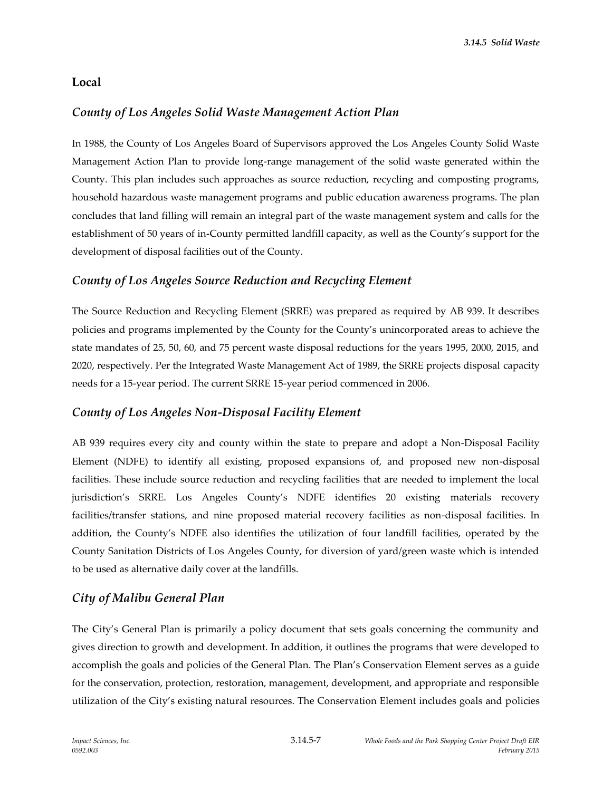# **Local**

# *County of Los Angeles Solid Waste Management Action Plan*

In 1988, the County of Los Angeles Board of Supervisors approved the Los Angeles County Solid Waste Management Action Plan to provide long-range management of the solid waste generated within the County. This plan includes such approaches as source reduction, recycling and composting programs, household hazardous waste management programs and public education awareness programs. The plan concludes that land filling will remain an integral part of the waste management system and calls for the establishment of 50 years of in-County permitted landfill capacity, as well as the County's support for the development of disposal facilities out of the County.

# *County of Los Angeles Source Reduction and Recycling Element*

The Source Reduction and Recycling Element (SRRE) was prepared as required by AB 939. It describes policies and programs implemented by the County for the County's unincorporated areas to achieve the state mandates of 25, 50, 60, and 75 percent waste disposal reductions for the years 1995, 2000, 2015, and 2020, respectively. Per the Integrated Waste Management Act of 1989, the SRRE projects disposal capacity needs for a 15-year period. The current SRRE 15-year period commenced in 2006.

# *County of Los Angeles Non-Disposal Facility Element*

AB 939 requires every city and county within the state to prepare and adopt a Non-Disposal Facility Element (NDFE) to identify all existing, proposed expansions of, and proposed new non-disposal facilities. These include source reduction and recycling facilities that are needed to implement the local jurisdiction's SRRE. Los Angeles County's NDFE identifies 20 existing materials recovery facilities/transfer stations, and nine proposed material recovery facilities as non-disposal facilities. In addition, the County's NDFE also identifies the utilization of four landfill facilities, operated by the County Sanitation Districts of Los Angeles County, for diversion of yard/green waste which is intended to be used as alternative daily cover at the landfills.

# *City of Malibu General Plan*

The City's General Plan is primarily a policy document that sets goals concerning the community and gives direction to growth and development. In addition, it outlines the programs that were developed to accomplish the goals and policies of the General Plan. The Plan's Conservation Element serves as a guide for the conservation, protection, restoration, management, development, and appropriate and responsible utilization of the City's existing natural resources. The Conservation Element includes goals and policies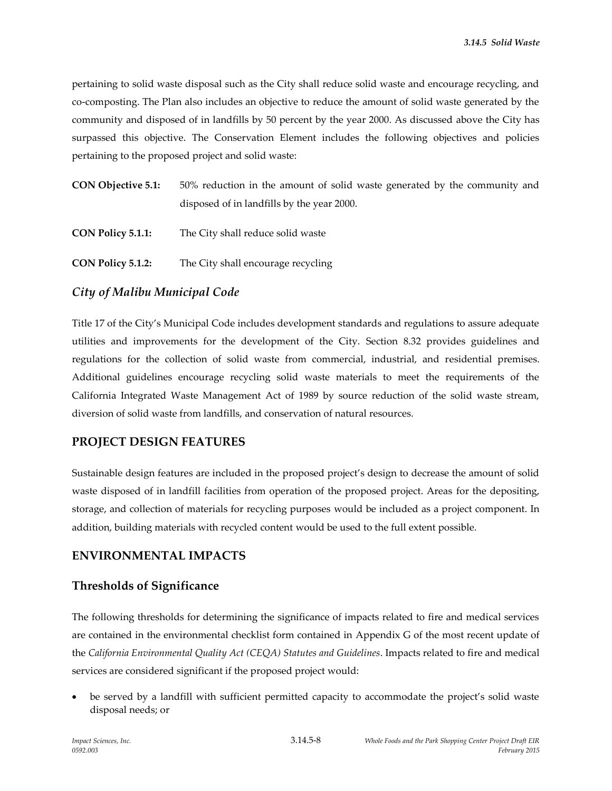pertaining to solid waste disposal such as the City shall reduce solid waste and encourage recycling, and co-composting. The Plan also includes an objective to reduce the amount of solid waste generated by the community and disposed of in landfills by 50 percent by the year 2000. As discussed above the City has surpassed this objective. The Conservation Element includes the following objectives and policies pertaining to the proposed project and solid waste:

| <b>CON Objective 5.1:</b> | 50% reduction in the amount of solid waste generated by the community and |
|---------------------------|---------------------------------------------------------------------------|
|                           | disposed of in landfills by the year 2000.                                |

| <b>CON Policy 5.1.1:</b> | The City shall reduce solid waste |
|--------------------------|-----------------------------------|
|--------------------------|-----------------------------------|

**CON Policy 5.1.2:** The City shall encourage recycling

#### *City of Malibu Municipal Code*

Title 17 of the City's Municipal Code includes development standards and regulations to assure adequate utilities and improvements for the development of the City. Section 8.32 provides guidelines and regulations for the collection of solid waste from commercial, industrial, and residential premises. Additional guidelines encourage recycling solid waste materials to meet the requirements of the California Integrated Waste Management Act of 1989 by source reduction of the solid waste stream, diversion of solid waste from landfills, and conservation of natural resources.

#### **PROJECT DESIGN FEATURES**

Sustainable design features are included in the proposed project's design to decrease the amount of solid waste disposed of in landfill facilities from operation of the proposed project. Areas for the depositing, storage, and collection of materials for recycling purposes would be included as a project component. In addition, building materials with recycled content would be used to the full extent possible.

# **ENVIRONMENTAL IMPACTS**

#### **Thresholds of Significance**

The following thresholds for determining the significance of impacts related to fire and medical services are contained in the environmental checklist form contained in Appendix G of the most recent update of the *California Environmental Quality Act (CEQA) Statutes and Guidelines*. Impacts related to fire and medical services are considered significant if the proposed project would:

 be served by a landfill with sufficient permitted capacity to accommodate the project's solid waste disposal needs; or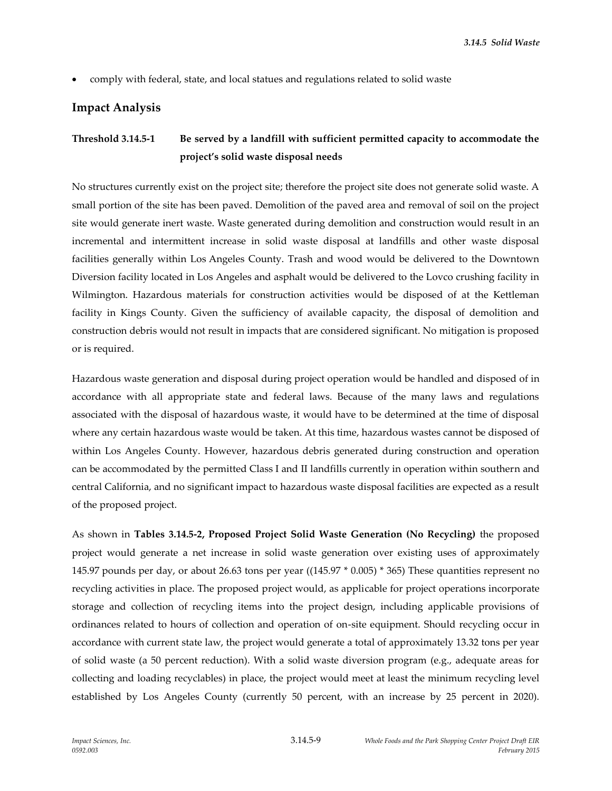comply with federal, state, and local statues and regulations related to solid waste

# **Impact Analysis**

# **Threshold 3.14.5-1 Be served by a landfill with sufficient permitted capacity to accommodate the project's solid waste disposal needs**

No structures currently exist on the project site; therefore the project site does not generate solid waste. A small portion of the site has been paved. Demolition of the paved area and removal of soil on the project site would generate inert waste. Waste generated during demolition and construction would result in an incremental and intermittent increase in solid waste disposal at landfills and other waste disposal facilities generally within Los Angeles County. Trash and wood would be delivered to the Downtown Diversion facility located in Los Angeles and asphalt would be delivered to the Lovco crushing facility in Wilmington. Hazardous materials for construction activities would be disposed of at the Kettleman facility in Kings County. Given the sufficiency of available capacity, the disposal of demolition and construction debris would not result in impacts that are considered significant. No mitigation is proposed or is required.

Hazardous waste generation and disposal during project operation would be handled and disposed of in accordance with all appropriate state and federal laws. Because of the many laws and regulations associated with the disposal of hazardous waste, it would have to be determined at the time of disposal where any certain hazardous waste would be taken. At this time, hazardous wastes cannot be disposed of within Los Angeles County. However, hazardous debris generated during construction and operation can be accommodated by the permitted Class I and II landfills currently in operation within southern and central California, and no significant impact to hazardous waste disposal facilities are expected as a result of the proposed project.

As shown in **Tables 3.14.5-2, Proposed Project Solid Waste Generation (No Recycling)** the proposed project would generate a net increase in solid waste generation over existing uses of approximately 145.97 pounds per day, or about 26.63 tons per year ((145.97 \* 0.005) \* 365) These quantities represent no recycling activities in place. The proposed project would, as applicable for project operations incorporate storage and collection of recycling items into the project design, including applicable provisions of ordinances related to hours of collection and operation of on-site equipment. Should recycling occur in accordance with current state law, the project would generate a total of approximately 13.32 tons per year of solid waste (a 50 percent reduction). With a solid waste diversion program (e.g., adequate areas for collecting and loading recyclables) in place, the project would meet at least the minimum recycling level established by Los Angeles County (currently 50 percent, with an increase by 25 percent in 2020).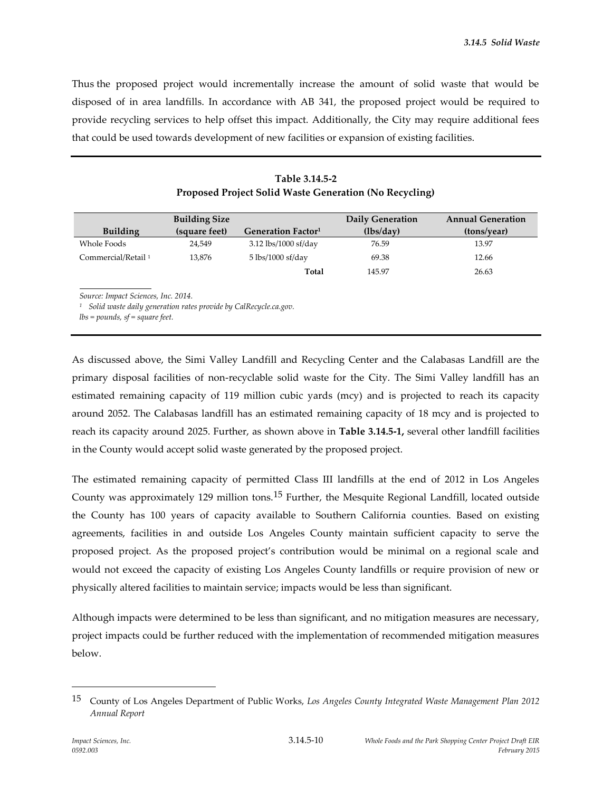Thus the proposed project would incrementally increase the amount of solid waste that would be disposed of in area landfills. In accordance with AB 341, the proposed project would be required to provide recycling services to help offset this impact. Additionally, the City may require additional fees that could be used towards development of new facilities or expansion of existing facilities.

| <b>Building Size</b>                                                                                    |               |                                     | Daily Generation | <b>Annual Generation</b> |
|---------------------------------------------------------------------------------------------------------|---------------|-------------------------------------|------------------|--------------------------|
| <b>Building</b>                                                                                         | (square feet) | Generation Factor <sup>1</sup>      | (lbs/day)        | (tons/year)              |
| Whole Foods                                                                                             | 24,549        | 3.12 lbs/1000 sf/day                | 76.59            | 13.97                    |
| Commercial/Retail <sup>1</sup>                                                                          | 13,876        | $5 \text{ lbs}/1000 \text{ sf}/day$ | 69.38            | 12.66                    |
|                                                                                                         |               | Total                               | 145.97           | 26.63                    |
| Source: Impact Sciences, Inc. 2014.<br>Solid waste daily generation rates provide by CalRecycle.ca.gov. |               |                                     |                  |                          |

**Table 3.14.5-2 Proposed Project Solid Waste Generation (No Recycling)**

*lbs = pounds, sf = square feet.*

As discussed above, the Simi Valley Landfill and Recycling Center and the Calabasas Landfill are the primary disposal facilities of non-recyclable solid waste for the City. The Simi Valley landfill has an estimated remaining capacity of 119 million cubic yards (mcy) and is projected to reach its capacity around 2052. The Calabasas landfill has an estimated remaining capacity of 18 mcy and is projected to reach its capacity around 2025. Further, as shown above in **Table 3.14.5-1,** several other landfill facilities in the County would accept solid waste generated by the proposed project.

The estimated remaining capacity of permitted Class III landfills at the end of 2012 in Los Angeles County was approximately 129 million tons.<sup>15</sup> Further, the Mesquite Regional Landfill, located outside the County has 100 years of capacity available to Southern California counties. Based on existing agreements, facilities in and outside Los Angeles County maintain sufficient capacity to serve the proposed project. As the proposed project's contribution would be minimal on a regional scale and would not exceed the capacity of existing Los Angeles County landfills or require provision of new or physically altered facilities to maintain service; impacts would be less than significant.

Although impacts were determined to be less than significant, and no mitigation measures are necessary, project impacts could be further reduced with the implementation of recommended mitigation measures below.

<sup>15</sup> County of Los Angeles Department of Public Works, *Los Angeles County Integrated Waste Management Plan 2012 Annual Report*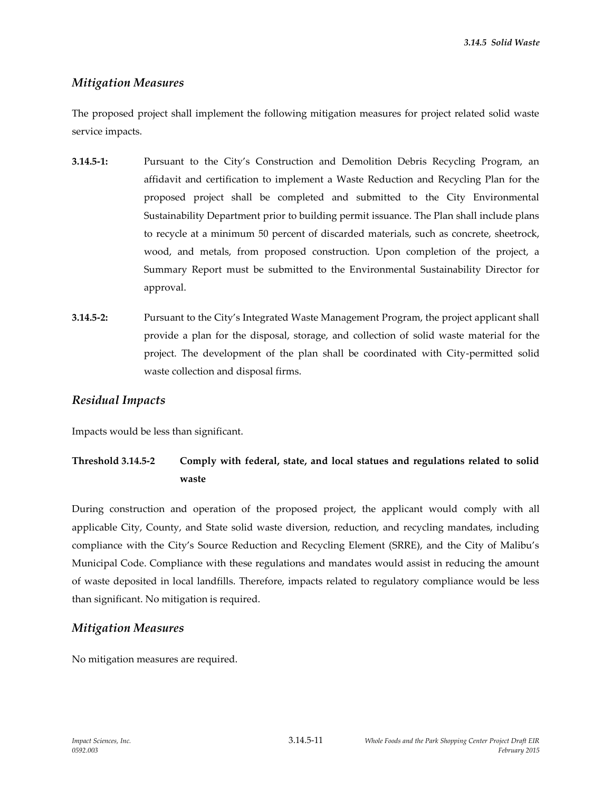*3.14.5 Solid Waste*

# *Mitigation Measures*

The proposed project shall implement the following mitigation measures for project related solid waste service impacts.

- **3.14.5-1:** Pursuant to the City's Construction and Demolition Debris Recycling Program, an affidavit and certification to implement a Waste Reduction and Recycling Plan for the proposed project shall be completed and submitted to the City Environmental Sustainability Department prior to building permit issuance. The Plan shall include plans to recycle at a minimum 50 percent of discarded materials, such as concrete, sheetrock, wood, and metals, from proposed construction. Upon completion of the project, a Summary Report must be submitted to the Environmental Sustainability Director for approval.
- **3.14.5-2:** Pursuant to the City's Integrated Waste Management Program, the project applicant shall provide a plan for the disposal, storage, and collection of solid waste material for the project. The development of the plan shall be coordinated with City-permitted solid waste collection and disposal firms.

# *Residual Impacts*

Impacts would be less than significant.

# **Threshold 3.14.5-2 Comply with federal, state, and local statues and regulations related to solid waste**

During construction and operation of the proposed project, the applicant would comply with all applicable City, County, and State solid waste diversion, reduction, and recycling mandates, including compliance with the City's Source Reduction and Recycling Element (SRRE), and the City of Malibu's Municipal Code. Compliance with these regulations and mandates would assist in reducing the amount of waste deposited in local landfills. Therefore, impacts related to regulatory compliance would be less than significant. No mitigation is required.

# *Mitigation Measures*

No mitigation measures are required.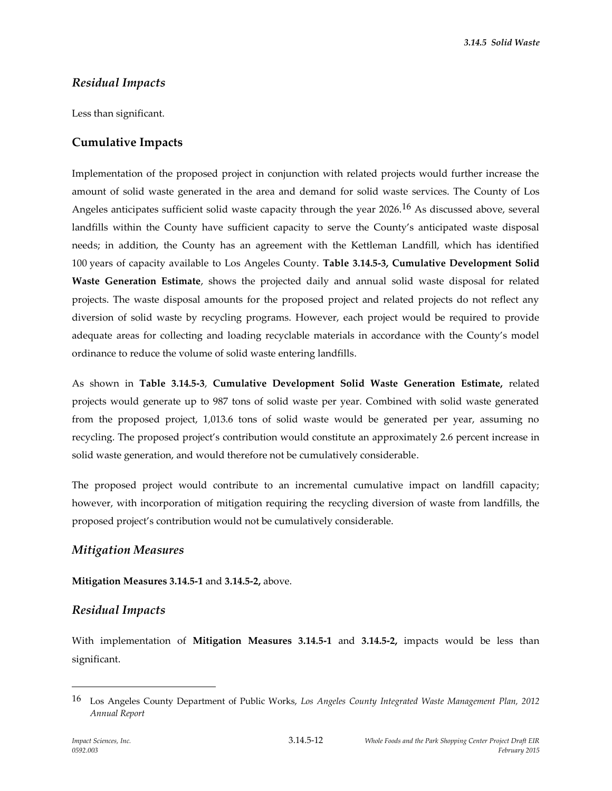*3.14.5 Solid Waste*

# *Residual Impacts*

Less than significant.

# **Cumulative Impacts**

Implementation of the proposed project in conjunction with related projects would further increase the amount of solid waste generated in the area and demand for solid waste services. The County of Los Angeles anticipates sufficient solid waste capacity through the year 2026.16 As discussed above, several landfills within the County have sufficient capacity to serve the County's anticipated waste disposal needs; in addition, the County has an agreement with the Kettleman Landfill, which has identified 100 years of capacity available to Los Angeles County. **Table 3.14.5-3, Cumulative Development Solid Waste Generation Estimate**, shows the projected daily and annual solid waste disposal for related projects. The waste disposal amounts for the proposed project and related projects do not reflect any diversion of solid waste by recycling programs. However, each project would be required to provide adequate areas for collecting and loading recyclable materials in accordance with the County's model ordinance to reduce the volume of solid waste entering landfills.

As shown in **Table 3.14.5-3**, **Cumulative Development Solid Waste Generation Estimate,** related projects would generate up to 987 tons of solid waste per year. Combined with solid waste generated from the proposed project, 1,013.6 tons of solid waste would be generated per year, assuming no recycling. The proposed project's contribution would constitute an approximately 2.6 percent increase in solid waste generation, and would therefore not be cumulatively considerable.

The proposed project would contribute to an incremental cumulative impact on landfill capacity; however, with incorporation of mitigation requiring the recycling diversion of waste from landfills, the proposed project's contribution would not be cumulatively considerable.

# *Mitigation Measures*

**Mitigation Measures 3.14.5-1** and **3.14.5-2,** above.

# *Residual Impacts*

With implementation of **Mitigation Measures 3.14.5-1** and **3.14.5-2,** impacts would be less than significant.

<sup>16</sup> Los Angeles County Department of Public Works, *Los Angeles County Integrated Waste Management Plan, 2012 Annual Report*